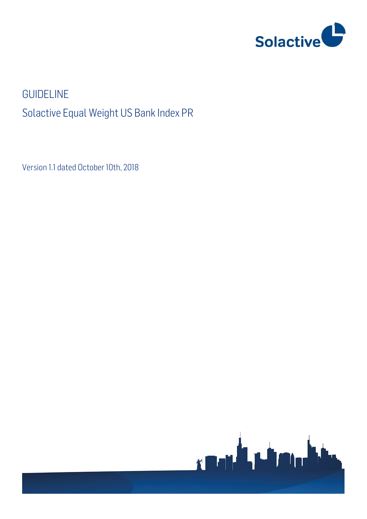

# GUIDELINE Solactive Equal Weight US Bank Index PR

Version 1.1 dated October 10th, 2018

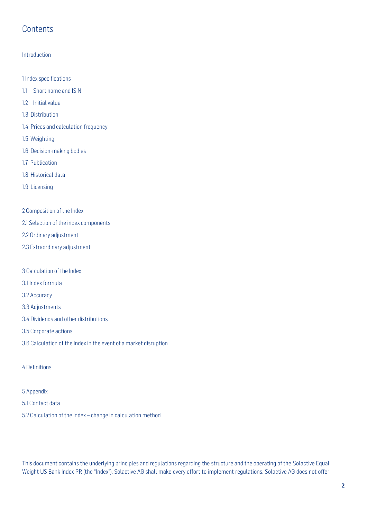# **Contents**

### Introduction

1 Index specifications

- 1.1 Short name and ISIN
- 1.2 Initial value
- 1.3 Distribution
- 1.4 Prices and calculation frequency
- 1.5 Weighting
- 1.6 Decision-making bodies
- 1.7 Publication
- 1.8 Historical data
- 1.9 Licensing
- 2 Composition of the Index
- 2.1 Selection of the index components
- 2.2 Ordinary adjustment
- 2.3 Extraordinary adjustment
- 3 Calculation of the Index
- 3.1 Index formula
- 3.2 Accuracy
- 3.3 Adjustments
- 3.4 Dividends and other distributions
- 3.5 Corporate actions
- 3.6 Calculation of the Index in the event of a market disruption
- 4 Definitions
- 5 Appendix
- 5.1 Contact data
- 5.2 Calculation of the Index change in calculation method

This document contains the underlying principles and regulations regarding the structure and the operating of the Solactive Equal Weight US Bank Index PR (the "Index"). Solactive AG shall make every effort to implement regulations. Solactive AG does not offer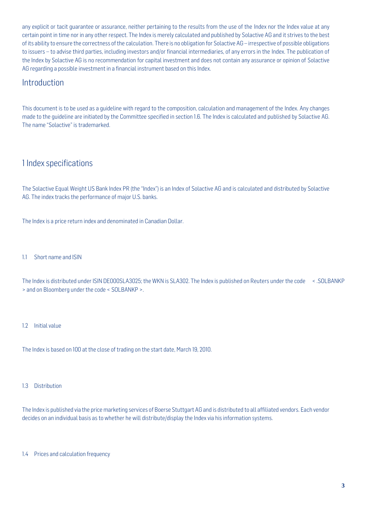any explicit or tacit guarantee or assurance, neither pertaining to the results from the use of the Index nor the Index value at any certain point in time nor in any other respect. The Index is merely calculated and published by Solactive AG and it strives to the best of its ability to ensure the correctness of the calculation. There is no obligation for Solactive AG – irrespective of possible obligations to issuers – to advise third parties, including investors and/or financial intermediaries, of any errors in the Index. The publication of the Index by Solactive AG is no recommendation for capital investment and does not contain any assurance or opinion of Solactive AG regarding a possible investment in a financial instrument based on this Index.

### **Introduction**

This document is to be used as a guideline with regard to the composition, calculation and management of the Index. Any changes made to the guideline are initiated by the Committee specified in section 1.6. The Index is calculated and published by Solactive AG. The name "Solactive" is trademarked.

### 1 Index specifications

The Solactive Equal Weight US Bank Index PR (the "Index") is an Index of Solactive AG and is calculated and distributed by Solactive AG. The index tracks the performance of major U.S. banks.

The Index is a price return index and denominated in Canadian Dollar.

1.1 Short name and ISIN

The Indexis distributed under ISIN DE000SLA3025; the WKN is SLA302. The Index is published on Reuters under the code < .SOLBANKP > and on Bloomberg under the code < SOLBANKP >.

### 1.2 Initial value

The Index is based on 100 at the close of trading on the start date, March 19, 2010.

### 1.3 Distribution

The Indexis published via the price marketing services of Boerse Stuttgart AG and is distributed to all affiliated vendors. Each vendor decides on an individual basis as to whether he will distribute/display the Index via his information systems.

### 1.4 Prices and calculation frequency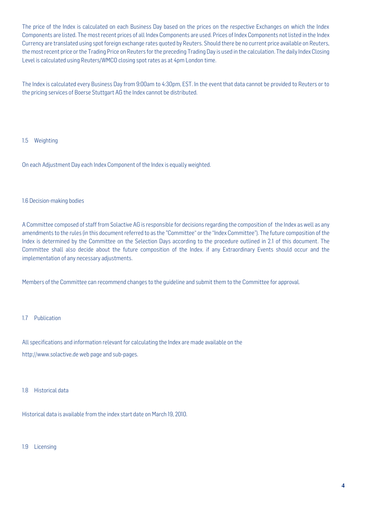The price of the Index is calculated on each Business Day based on the prices on the respective Exchanges on which the Index Components are listed. The most recent prices of all Index Components are used. Prices of Index Components not listed in the Index Currency are translated using spot foreign exchange rates quoted by Reuters. Should there be no current price available on Reuters, the most recent price or the Trading Price on Reuters for the preceding Trading Day is used in the calculation. The daily Index Closing Level is calculated using Reuters/WMCO closing spot rates as at 4pm London time.

The Index is calculated every Business Day from 9:00am to 4:30pm, EST. In the event that data cannot be provided to Reuters or to the pricing services of Boerse Stuttgart AG the Index cannot be distributed.

### 1.5 Weighting

On each Adjustment Day each Index Component of the Index is equally weighted.

### 1.6 Decision-making bodies

A Committee composed of staff from Solactive AG is responsible for decisions regarding the composition of the Index as well as any amendments to the rules (in this document referred to as the "Committee" or the "Index Committee"). The future composition of the Index is determined by the Committee on the Selection Days according to the procedure outlined in 2.1 of this document. The Committee shall also decide about the future composition of the Index. if any Extraordinary Events should occur and the implementation of any necessary adjustments.

Members of the Committee can recommend changes to the guideline and submit them to the Committee for approval.

### 1.7 Publication

All specifications and information relevant for calculating the Index are made available on the http://www.solactive.de web page and sub-pages.

### 1.8 Historical data

Historical data is available from the index start date on March 19, 2010.

#### 1.9 Licensing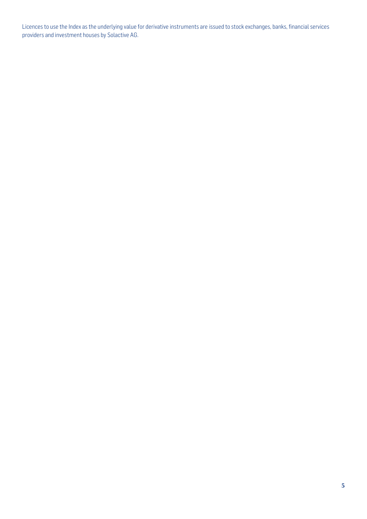Licences to use the Index as the underlying value for derivative instruments are issued to stock exchanges, banks, financial services providers and investment houses by Solactive AG.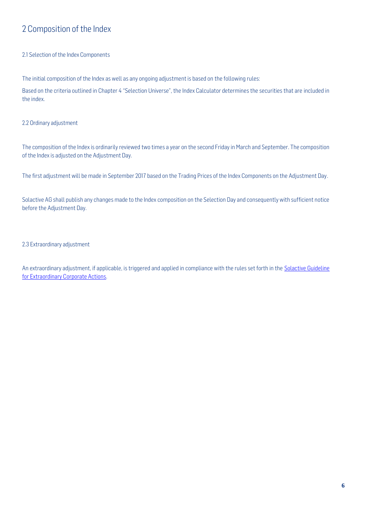# 2 Composition of the Index

### 2.1 Selection of the Index Components

The initial composition of the Index as well as any ongoing adjustment is based on the following rules:

Based on the criteria outlined in Chapter 4 "Selection Universe", the Index Calculator determines the securities that are included in the index.

### 2.2 Ordinary adjustment

The composition of the Index is ordinarily reviewed two times a year on the second Friday in March and September. The composition of the Index is adjusted on the Adjustment Day.

The first adjustment will be made in September 2017 based on the Trading Prices of the Index Components on the Adjustment Day.

Solactive AG shall publish any changes made to the Index composition on the Selection Day and consequently with sufficient notice before the Adjustment Day.

### 2.3 Extraordinary adjustment

An extraordinary adjustment, if applicable, is triggered and applied in compliance with the rules set forth in the Solactive Guideline [for Extraordinary Corporate Actions.](https://www.solactive.com/wp-content/uploads/2017/02/ECA-Solactive-Guideline.pdf)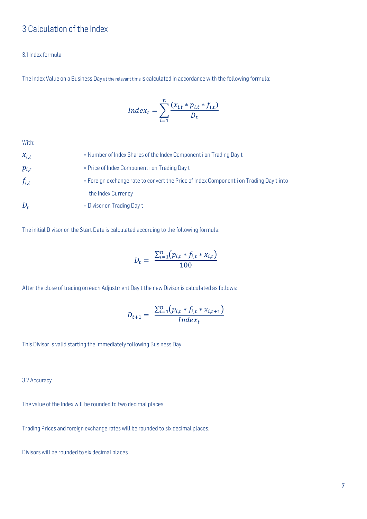# 3 Calculation of the Index

### 3.1 Index formula

The Index Value on a Business Day at the relevant time is calculated in accordance with the following formula:

$$
Index_t = \sum_{i=1}^{n} \frac{(x_{i,t} * p_{i,t} * f_{i,t})}{D_t}
$$

With:

| $x_{i,t}$ | = Number of Index Shares of the Index Component i on Trading Day t                      |
|-----------|-----------------------------------------------------------------------------------------|
| $p_{i,t}$ | = Price of Index Component i on Trading Day t                                           |
| $f_{i,t}$ | = Foreign exchange rate to convert the Price of Index Component i on Trading Day t into |
|           | the Index Currency                                                                      |
| $D_t$     | $=$ Divisor on Trading Day t                                                            |

The initial Divisor on the Start Date is calculated according to the following formula:

$$
D_t = \frac{\sum_{i=1}^{n} (p_{i,t} * f_{i,t} * x_{i,t})}{100}
$$

After the close of trading on each Adjustment Day t the new Divisor is calculated as follows:

$$
D_{t+1} = \frac{\sum_{i=1}^{n} (p_{i,t} * f_{i,t} * x_{i,t+1})}{Index_t}
$$

This Divisor is valid starting the immediately following Business Day.

3.2 Accuracy

The value of the Index will be rounded to two decimal places.

Trading Prices and foreign exchange rates will be rounded to six decimal places.

Divisors will be rounded to six decimal places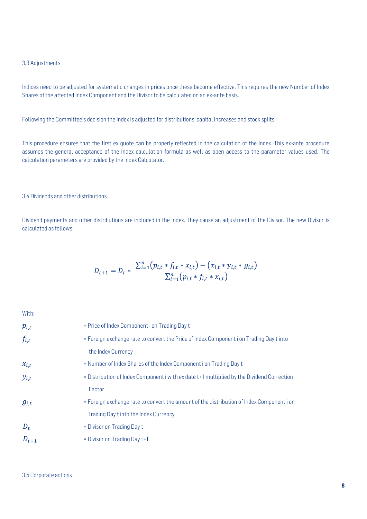#### 3.3 Adjustments

Indices need to be adjusted for systematic changes in prices once these become effective. This requires the new Number of Index Shares of the affected Index Component and the Divisor to be calculated on an ex-ante basis.

Following the Committee's decision the Indexis adjusted for distributions, capital increases and stock splits.

This procedure ensures that the first ex quote can be properly reflected in the calculation of the Index. This ex-ante procedure assumes the general acceptance of the Index calculation formula as well as open access to the parameter values used. The calculation parameters are provided by the Index Calculator.

### 3.4 Dividends and other distributions

Dividend payments and other distributions are included in the Index. They cause an adjustment of the Divisor. The new Divisor is calculated as follows:

$$
D_{t+1} = D_t * \frac{\sum_{i=1}^{n} (p_{i,t} * f_{i,t} * x_{i,t}) - (x_{i,t} * y_{i,t} * g_{i,t})}{\sum_{i=1}^{n} (p_{i,t} * f_{i,t} * x_{i,t})}
$$

With:

| $p_{i,t}$ | = Price of Index Component i on Trading Day t                                              |
|-----------|--------------------------------------------------------------------------------------------|
| $f_{i,t}$ | = Foreign exchange rate to convert the Price of Index Component i on Trading Day t into    |
|           | the Index Currency                                                                         |
| $x_{i,t}$ | = Number of Index Shares of the Index Component i on Trading Day t                         |
| $y_{i,t}$ | = Distribution of Index Component i with ex date t+1 multiplied by the Dividend Correction |
|           | Factor                                                                                     |
| $g_{i,t}$ | = Foreign exchange rate to convert the amount of the distribution of Index Component i on  |
|           | Trading Day t into the Index Currency                                                      |
| $D_t$     | = Divisor on Trading Day t                                                                 |
| $D_{t+1}$ | $=$ Divisor on Trading Day $t+1$                                                           |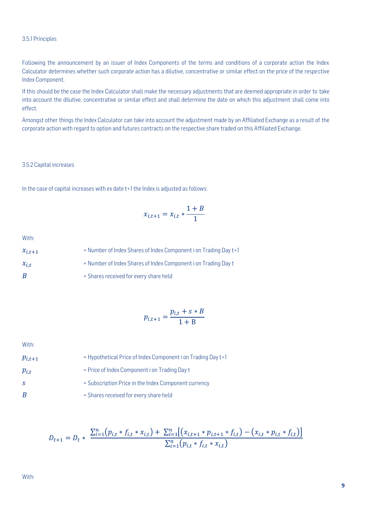### 3.5.1 Principles

Following the announcement by an issuer of Index Components of the terms and conditions of a corporate action the Index Calculator determines whether such corporate action has a dilutive, concentrative or similar effect on the price of the respective Index Component.

If this should be the case the Index Calculator shall make the necessary adjustments that are deemed appropriate in order to take into account the dilutive, concentrative or similar effect and shall determine the date on which this adjustment shall come into effect.

Amongst other things the Index Calculator can take into account the adjustment made by an Affiliated Exchange as a result of the corporate action with regard to option and futures contracts on the respective share traded on this Affiliated Exchange.

#### 3.5.2 Capital increases

In the case of capital increases with ex date t+1 the Index is adjusted as follows:

$$
x_{i,t+1} = x_{i,t} * \frac{1+B}{1}
$$

With:

| $x_{i,t+1}$ | = Number of Index Shares of Index Component i on Trading Day t+1 |
|-------------|------------------------------------------------------------------|
| $x_{i,t}$   | = Number of Index Shares of Index Component i on Trading Day t   |
| B           | = Shares received for every share held                           |

$$
p_{i,t+1} = \frac{p_{i,t} + s * B}{1 + B}
$$

With:

| $p_{i,t+1}$ | = Hypothetical Price of Index Component i on Trading Day t+1 |
|-------------|--------------------------------------------------------------|
| $p_{i.t}$   | = Price of Index Component i on Trading Day t                |
| S.          | = Subscription Price in the Index Component currency         |
| B           | = Shares received for every share held                       |

$$
D_{t+1} = D_t * \frac{\sum_{i=1}^{n} (p_{i,t} * f_{i,t} * x_{i,t}) + \sum_{i=1}^{n} [(x_{i,t+1} * p_{i,t+1} * f_{i,t}) - (x_{i,t} * p_{i,t} * f_{i,t})]}{\sum_{i=1}^{n} (p_{i,t} * f_{i,t} * x_{i,t})}
$$

With: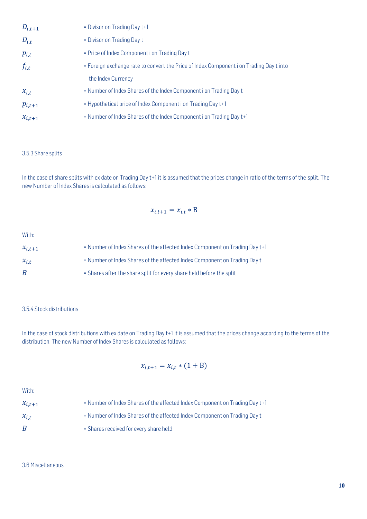| $D_{i,t+1}$ | $=$ Divisor on Trading Day $t+1$                                                        |
|-------------|-----------------------------------------------------------------------------------------|
| $D_{i,t}$   | = Divisor on Trading Day t                                                              |
| $p_{i,t}$   | = Price of Index Component i on Trading Day t                                           |
| $f_{i,t}$   | = Foreign exchange rate to convert the Price of Index Component i on Trading Day t into |
|             | the Index Currency                                                                      |
| $x_{i,t}$   | = Number of Index Shares of the Index Component i on Trading Day t                      |
| $p_{i,t+1}$ | = Hypothetical price of Index Component i on Trading Day t+1                            |
| $x_{i,t+1}$ | = Number of Index Shares of the Index Component i on Trading Day t+1                    |

### 3.5.3 Share splits

In the case of share splits with ex date on Trading Day t+1 it is assumed that the prices change in ratio of the terms of the split. The new Number of Index Shares is calculated as follows:

$$
x_{i,t+1} = x_{i,t} * B
$$

With:

| $x_{i,t+1}$ | = Number of Index Shares of the affected Index Component on Trading Day t+1 |
|-------------|-----------------------------------------------------------------------------|
| $x_{i,t}$   | = Number of Index Shares of the affected Index Component on Trading Day t   |
| B           | = Shares after the share split for every share held before the split        |

### 3.5.4 Stock distributions

In the case of stock distributions with ex date on Trading Day t+1 it is assumed that the prices change according to the terms of the distribution. The new Number of Index Shares is calculated as follows:

### $x_{i,t+1} = x_{i,t} * (1 + B)$

With:

 $x_{i,t+1}$  = Number of Index Shares of the affected Index Component on Trading Day t+1  $x_{i,t}$  = Number of Index Shares of the affected Index Component on Trading Day t  $B$  = Shares received for every share held

3.6 Miscellaneous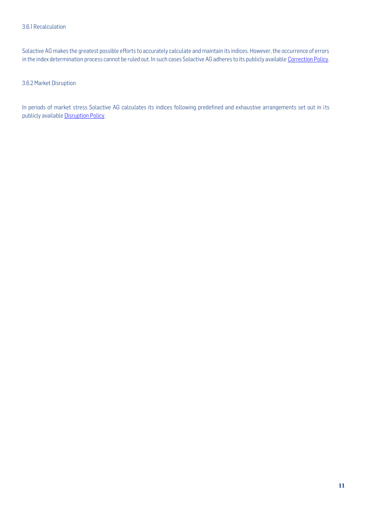Solactive AG makes the greatest possible efforts to accurately calculate and maintain its indices. However, the occurrence of errors in the index determination process cannot be ruled out. In such cases Solactive AG adheres to its publicly available [Correction Policy.](http://www.solactive.com/news/documents/)

3.6.2 Market Disruption

In periods of market stress Solactive AG calculates its indices following predefined and exhaustive arrangements set out in its publicly availabl[e Disruption Policy.](http://www.solactive.com/news/documents/)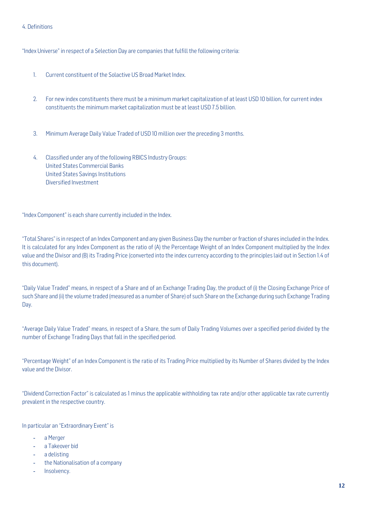### 4. Definitions

"Index Universe" in respect of a Selection Day are companies that fulfill the following criteria:

- 1. Current constituent of the Solactive US Broad Market Index.
- 2. For new index constituents there must be a minimum market capitalization of at least USD 10 billion, for current index constituents the minimum market capitalization must be at least USD 7.5 billion.
- 3. Minimum Average Daily Value Traded of USD 10 million over the preceding 3 months.
- 4. Classified under any of the following RBICS Industry Groups: United States Commercial Banks United States Savings Institutions Diversified Investment

"Index Component" is each share currently included in the Index.

"Total Shares" is in respect of an Index Component and any given Business Day the number or fraction of shares included in the Index. It is calculated for any Index Component as the ratio of (A) the Percentage Weight of an Index Component multiplied by the Index value and the Divisor and (B) its Trading Price (converted into the index currency according to the principles laid out in Section 1.4 of this document).

"Daily Value Traded" means, in respect of a Share and of an Exchange Trading Day, the product of (i) the Closing Exchange Price of such Share and (ii) the volume traded (measured as a number of Share) of such Share on the Exchange during such Exchange Trading Day.

"Average Daily Value Traded" means, in respect of a Share, the sum of Daily Trading Volumes over a specified period divided by the number of Exchange Trading Days that fall in the specified period.

"Percentage Weight" of an Index Component is the ratio of its Trading Price multiplied by its Number of Shares divided by the Index value and the Divisor.

"Dividend Correction Factor" is calculated as 1 minus the applicable withholding tax rate and/or other applicable tax rate currently prevalent in the respective country.

In particular an "Extraordinary Event" is

- a Merger
- a Takeover bid
- a delisting
- the Nationalisation of a company
- Insolvency.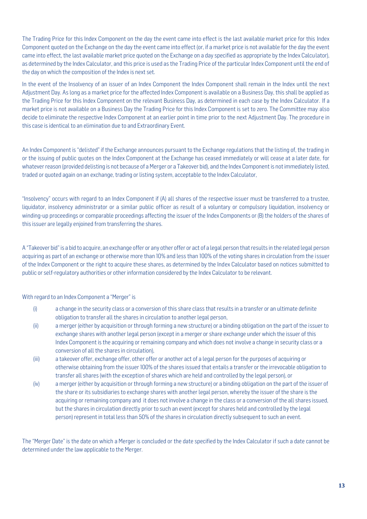The Trading Price for this Index Component on the day the event came into effect is the last available market price for this Index Component quoted on the Exchange on the day the event came into effect (or, if a market price is not available for the day the event came into effect, the last available market price quoted on the Exchange on a day specified as appropriate by the Index Calculator), as determined by the Index Calculator, and this price is used as the Trading Price of the particular Index Component until the end of the day on which the composition of the Index is next set.

In the event of the Insolvency of an issuer of an Index Component the Index Component shall remain in the Index until the next Adjustment Day. As long as a market price for the affected Index Component is available on a Business Day, this shall be applied as the Trading Price for this Index Component on the relevant Business Day, as determined in each case by the Index Calculator. If a market price is not available on a Business Day the Trading Price for this Index Component is set to zero. The Committee may also decide to eliminate the respective Index Component at an earlier point in time prior to the next Adjustment Day. The procedure in this case is identical to an elimination due to and Extraordinary Event.

An Index Component is "delisted" if the Exchange announces pursuant to the Exchange regulations that the listing of, the trading in or the issuing of public quotes on the Index Component at the Exchange has ceased immediately or will cease at a later date, for whatever reason (provided delisting is not because of a Merger or a Takeover bid), and the Index Component is not immediately listed, traded or quoted again on an exchange, trading or listing system, acceptable to the Index Calculator,

"Insolvency" occurs with regard to an Index Component if (A) all shares of the respective issuer must be transferred to a trustee, liquidator, insolvency administrator or a similar public officer as result of a voluntary or compulsory liquidation, insolvency or winding-up proceedings or comparable proceedings affecting the issuer of the Index Components or (B) the holders of the shares of this issuer are legally enjoined from transferring the shares.

A "Takeover bid" is a bid to acquire, an exchange offer or any other offer or act of a legal person that results in the related legal person acquiring as part of an exchange or otherwise more than 10% and less than 100% of the voting shares in circulation from the issuer of the Index Component or the right to acquire these shares, as determined by the Index Calculator based on notices submitted to public or self-regulatory authorities or other information considered by the Index Calculator to be relevant.

### With regard to an Index Component a "Merger" is

- (i) a change in the security class or a conversion of this share class that results in a transfer or an ultimate definite obligation to transfer all the shares in circulation to another legal person,
- (ii) a merger (either by acquisition or through forming a new structure) or a binding obligation on the part of the issuer to exchange shares with another legal person (except in a merger or share exchange under which the issuer of this Index Component is the acquiring or remaining company and which does not involve a change in security class or a conversion of all the shares in circulation),
- (iii) a takeover offer, exchange offer, other offer or another act of a legal person for the purposes of acquiring or otherwise obtaining from the issuer 100% of the shares issued that entails a transfer or the irrevocable obligation to transfer all shares (with the exception of shares which are held and controlled by the legal person), or
- (iv) a merger (either by acquisition or through forming a new structure) or a binding obligation on the part of the issuer of the share or its subsidiaries to exchange shares with another legal person, whereby the issuer of the share is the acquiring or remaining company and it does not involve a change in the class or a conversion of the all shares issued, but the shares in circulation directly prior to such an event (except for shares held and controlled by the legal person) represent in total less than 50% of the shares in circulation directly subsequent to such an event.

The "Merger Date" is the date on which a Merger is concluded or the date specified by the Index Calculator if such a date cannot be determined under the law applicable to the Merger.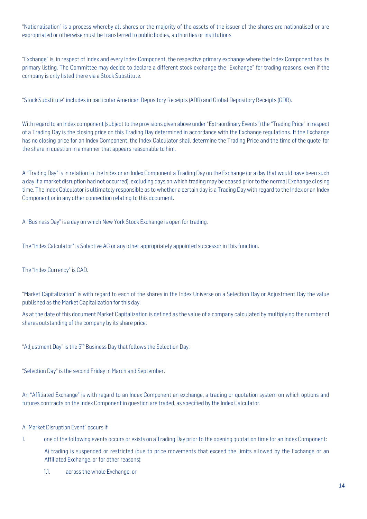"Nationalisation" is a process whereby all shares or the majority of the assets of the issuer of the shares are nationalised or are expropriated or otherwise must be transferred to public bodies, authorities or institutions.

"Exchange" is, in respect of Index and every Index Component, the respective primary exchange where the Index Component has its primary listing. The Committee may decide to declare a different stock exchange the "Exchange" for trading reasons, even if the company is only listed there via a Stock Substitute.

"Stock Substitute" includes in particular American Depository Receipts (ADR) and Global Depository Receipts (GDR).

With regard to an Index component (subject to the provisions given above under "Extraordinary Events") the "Trading Price" in respect of a Trading Day is the closing price on this Trading Day determined in accordance with the Exchange regulations. If the Exchange has no closing price for an Index Component, the Index Calculator shall determine the Trading Price and the time of the quote for the share in question in a manner that appears reasonable to him.

A "Trading Day" is in relation to the Index or an Index Component a Trading Day on the Exchange (or a day that would have been such a day if a market disruption had not occurred), excluding days on which trading may be ceased prior to the normal Exchange closing time. The Index Calculator is ultimately responsible as to whether a certain day is a Trading Day with regard to the Index or an Index Component or in any other connection relating to this document.

A "Business Day" is a day on which New York Stock Exchange is open for trading.

The "Index Calculator" is Solactive AG or any other appropriately appointed successor in this function.

### The "Index Currency" is CAD.

"Market Capitalization" is with regard to each of the shares in the Index Universe on a Selection Day or Adjustment Day the value published as the Market Capitalization for this day.

As at the date of this document Market Capitalization is defined as the value of a company calculated by multiplying the number of shares outstanding of the company by its share price.

"Adjustment Day" is the 5<sup>th</sup> Business Day that follows the Selection Day.

"Selection Day" is the second Friday in March and September.

An "Affiliated Exchange" is with regard to an Index Component an exchange, a trading or quotation system on which options and futures contracts on the Index Component in question are traded, as specified by the Index Calculator.

### A "Market Disruption Event" occurs if

1. one of the following events occurs or exists on a Trading Day prior to the opening quotation time for an Index Component:

A) trading is suspended or restricted (due to price movements that exceed the limits allowed by the Exchange or an Affiliated Exchange, or for other reasons):

1.1. across the whole Exchange; or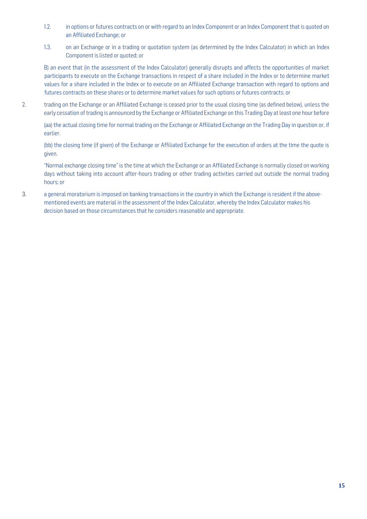- 1.2. in options or futures contracts on or with regard to an Index Component or an Index Component that is quoted on an Affiliated Exchange; or
- 1.3. on an Exchange or in a trading or quotation system (as determined by the Index Calculator) in which an Index Component is listed or quoted; or

B) an event that (in the assessment of the Index Calculator) generally disrupts and affects the opportunities of market participants to execute on the Exchange transactions in respect of a share included in the Index or to determine market values for a share included in the Index or to execute on an Affiliated Exchange transaction with regard to options and futures contracts on these shares or to determine market values for such options or futures contracts; or

2. trading on the Exchange or an Affiliated Exchange is ceased prior to the usual closing time (as defined below), unless the early cessation of trading is announced by the Exchange or Affiliated Exchange on this Trading Day at least one hour before

(aa) the actual closing time for normal trading on the Exchange or Affiliated Exchange on the Trading Day in question or, if earlier.

(bb) the closing time (if given) of the Exchange or Affiliated Exchange for the execution of orders at the time the quote is given.

"Normal exchange closing time" is the time at which the Exchange or an Affiliated Exchange is normally closed on working days without taking into account after-hours trading or other trading activities carried out outside the normal trading hours; or

3. a general moratorium is imposed on banking transactions in the country in which the Exchange is resident if the abovementioned events are material in the assessment of the Index Calculator, whereby the Index Calculator makes his decision based on those circumstances that he considers reasonable and appropriate.